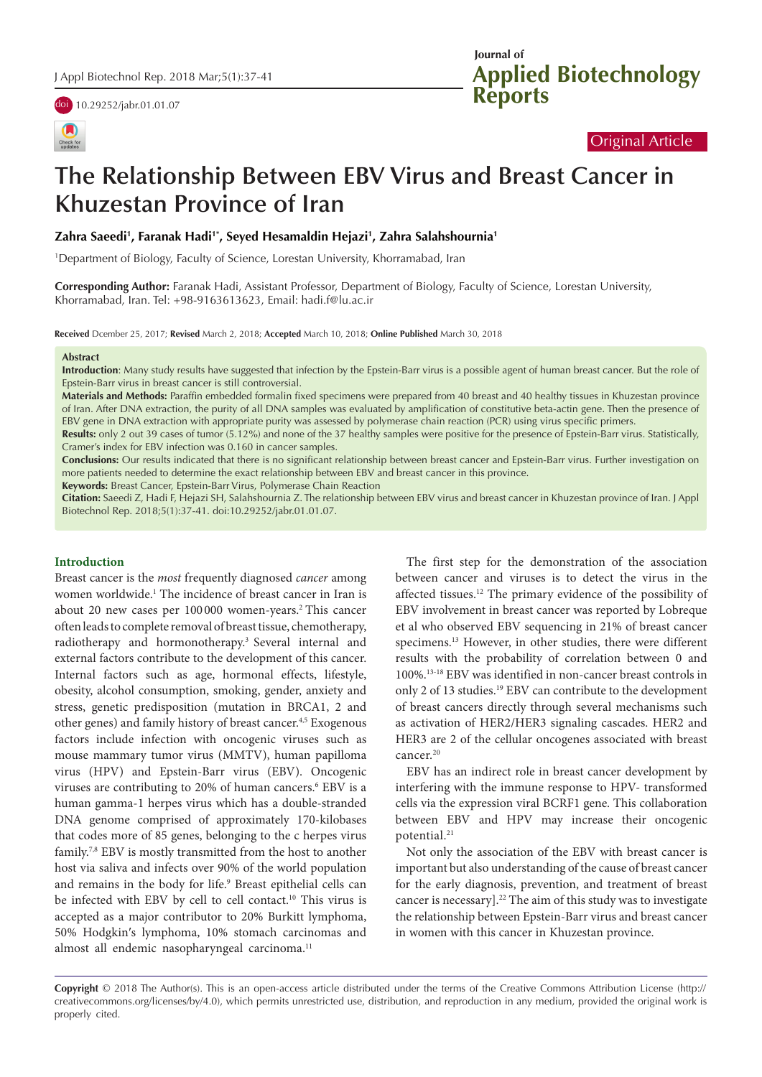

# Original Article

# **The Relationship Between EBV Virus and Breast Cancer in Khuzestan Province of Iran**

#### **Zahra Saeedi1 , Faranak Hadi1\*, Seyed Hesamaldin Hejazi1 , Zahra Salahshournia1**

1 Department of Biology, Faculty of Science, Lorestan University, Khorramabad, Iran

**Corresponding Author:** Faranak Hadi, Assistant Professor, Department of Biology, Faculty of Science, Lorestan University, Khorramabad, Iran. Tel: +98-9163613623, Email: hadi.f@lu.ac.ir

**Received** Dcember 25, 2017; **Revised** March 2, 2018; **Accepted** March 10, 2018; **Online Published** March 30, 2018

#### **Abstract**

**Introduction**: Many study results have suggested that infection by the Epstein-Barr virus is a possible agent of human breast cancer. But the role of Epstein-Barr virus in breast cancer is still controversial.

**Materials and Methods:** Paraffin embedded formalin fixed specimens were prepared from 40 breast and 40 healthy tissues in Khuzestan province of Iran. After DNA extraction, the purity of all DNA samples was evaluated by amplification of constitutive beta-actin gene. Then the presence of EBV gene in DNA extraction with appropriate purity was assessed by polymerase chain reaction (PCR) using virus specific primers.

**Results:** only 2 out 39 cases of tumor (5.12%) and none of the 37 healthy samples were positive for the presence of Epstein-Barr virus. Statistically, Cramer's index for EBV infection was 0.160 in cancer samples.

**Conclusions:** Our results indicated that there is no significant relationship between breast cancer and Epstein-Barr virus. Further investigation on more patients needed to determine the exact relationship between EBV and breast cancer in this province.

**Keywords:** Breast Cancer, Epstein-Barr Virus, Polymerase Chain Reaction

**Citation:** Saeedi Z, Hadi F, Hejazi SH, Salahshournia Z. The relationship between EBV virus and breast cancer in Khuzestan province of Iran. J Appl Biotechnol Rep. 2018;5(1):37-41. doi:10.29252/jabr.01.01.07.

#### **Introduction**

Breast cancer is the *most* frequently diagnosed *cancer* among women worldwide.<sup>1</sup> The incidence of breast cancer in Iran is about 20 new cases per 100000 women-years.<sup>2</sup> This cancer often leads to complete removal of breast tissue, chemotherapy, radiotherapy and hormonotherapy.3 Several internal and external factors contribute to the development of this cancer. Internal factors such as age, hormonal effects, lifestyle, obesity, alcohol consumption, smoking, gender, anxiety and stress, genetic predisposition (mutation in BRCA1, 2 and other genes) and family history of breast cancer.4,5 Exogenous factors include infection with oncogenic viruses such as mouse mammary tumor virus (MMTV), human papilloma virus (HPV) and Epstein-Barr virus (EBV). Oncogenic viruses are contributing to 20% of human cancers.<sup>6</sup> EBV is a human gamma-1 herpes virus which has a double-stranded DNA genome comprised of approximately 170-kilobases that codes more of 85 genes, belonging to the c herpes virus family.7,8 EBV is mostly transmitted from the host to another host via saliva and infects over 90% of the world population and remains in the body for life.<sup>9</sup> Breast epithelial cells can be infected with EBV by cell to cell contact.<sup>10</sup> This virus is accepted as a major contributor to 20% Burkitt lymphoma, 50% Hodgkin′s lymphoma, 10% stomach carcinomas and almost all endemic nasopharyngeal carcinoma.<sup>11</sup>

The first step for the demonstration of the association between cancer and viruses is to detect the virus in the affected tissues.12 The primary evidence of the possibility of EBV involvement in breast cancer was reported by Lobreque et al who observed EBV sequencing in 21% of breast cancer specimens.13 However, in other studies, there were different results with the probability of correlation between 0 and 100%.13-18 EBV was identified in non-cancer breast controls in only 2 of 13 studies.<sup>19</sup> EBV can contribute to the development of breast cancers directly through several mechanisms such as activation of HER2/HER3 signaling cascades. HER2 and HER3 are 2 of the cellular oncogenes associated with breast cancer.<sup>20</sup>

EBV has an indirect role in breast cancer development by interfering with the immune response to HPV- transformed cells via the expression viral BCRF1 gene. This collaboration between EBV and HPV may increase their oncogenic potential.<sup>21</sup>

Not only the association of the EBV with breast cancer is important but also understanding of the cause of breast cancer for the early diagnosis, prevention, and treatment of breast cancer is necessary].<sup>22</sup> The aim of this study was to investigate the relationship between Epstein-Barr virus and breast cancer in women with this cancer in Khuzestan province.

**Copyright** © 2018 The Author(s). This is an open-access article distributed under the terms of the Creative Commons Attribution License (http:// creativecommons.org/licenses/by/4.0), which permits unrestricted use, distribution, and reproduction in any medium, provided the original work is properly cited.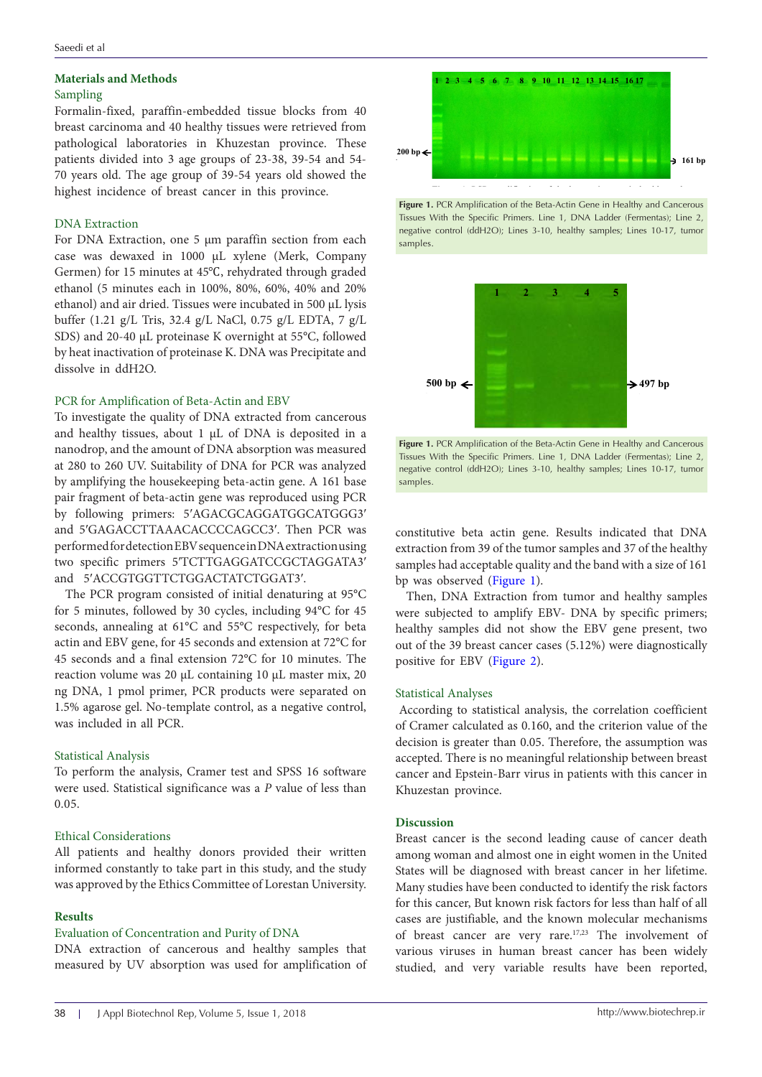# **Materials and Methods**

# Sampling

Formalin-fixed, paraffin-embedded tissue blocks from 40 breast carcinoma and 40 healthy tissues were retrieved from  $\blacksquare$ pathological laboratories in Khuzestan province. These patients divided into 3 age groups of 23-38, 39-54 and 54- 70 years old. The age group of 39-54 years old showed the highest incidence of breast cancer in this province.

bp

#### DNA Extraction

For DNA Extraction, one 5 μm paraffin section from each case was dewaxed in 1000 μL xylene (Merk, Company Germen) for 15 minutes at 45℃, rehydrated through graded ethanol (5 minutes each in 100%, 80%, 60%, 40% and 20% ethanol) and air dried. Tissues were incubated in 500 μL lysis buffer (1.21 g/L Tris, 32.4 g/L NaCl, 0.75 g/L EDTA, 7 g/L SDS) and 20-40 μL proteinase K overnight at 55°C, followed by heat inactivation of proteinase K. DNA was Precipitate and dissolve in ddH2O.

#### PCR for Amplification of Beta-Actin and EBV

To investigate the quality of DNA extracted from cancerous and healthy tissues, about 1 μL of DNA is deposited in a nanodrop, and the amount of DNA absorption was measured at 280 to 260 UV. Suitability of DNA for PCR was analyzed by amplifying the housekeeping beta-actin gene. A 161 base pair fragment of beta-actin gene was reproduced using PCR by following primers: 5′AGACGCAGGATGGCATGGG3′ and 5′GAGACCTTAAACACCCCAGCC3′. Then PCR was performed for detection EBV sequence in DNA extraction using two specific primers 5′TCTTGAGGATCCGCTAGGATA3′ and 5′ACCGTGGTTCTGGACTATCTGGAT3′.  $\lim_{s \to \infty} P \subset \mathbb{R}$ 

The PCR program consisted of initial denaturing at 95°C for 5 minutes, followed by 30 cycles, including 94°C for 45 seconds, annealing at 61°C and 55°C respectively, for beta actin and EBV gene, for 45 seconds and extension at 72°C for 45 seconds and a final extension 72°C for 10 minutes. The reaction volume was 20 μL containing 10 μL master mix, 20 ng DNA, 1 pmol primer, PCR products were separated on 1.5% agarose gel. No-template control, as a negative control, was included in all PCR.

#### Statistical Analysis

To perform the analysis, Cramer test and SPSS 16 software were used. Statistical significance was a *P* value of less than 0.05.

#### Ethical Considerations

All patients and healthy donors provided their written informed constantly to take part in this study, and the study was approved by the Ethics Committee of Lorestan University.

#### **Results**

## Evaluation of Concentration and Purity of DNA

DNA extraction of cancerous and healthy samples that measured by UV absorption was used for amplification of



<span id="page-1-0"></span>**161 bp**



<span id="page-1-1"></span>

**Fig. 2:** PCR amplification of the EBV virus gene in healthy and cancerous tissues with the specific **Fig. 2: Alternation of the EBV virus generalises** with the specific rimers: EIRC 1, BYVY cadder (rememali), cancern cancer respect to regative control (ddH2O); Lines 3-10, healthy samples; Lines 10-17, tumor  $p_1$  and  $p_2$  and  $p_3$  and  $p_4$  and  $p_5$  and  $p_6$  and  $p_7$  positive control; Line 3, negative control; Line 3, negative control; Line 3, negative control; Line 3, negative control; Line 3, negative control; Line 3, **Figure 1.** PCR Amplification of the Beta-Actin Gene in Healthy and Cancerous Tissues With the Specific Primers. Line 1, DNA Ladder (Fermentas); Line 2, samples.

constitutive beta actin gene. Results indicated that DNA extraction from 39 of the tumor samples and 37 of the healthy samples had acceptable quality and the band with a size of 161 bp was observed ([Figure 1\)](#page-1-0).

Then, DNA Extraction from tumor and healthy samples were subjected to amplify EBV- DNA by specific primers; healthy samples did not show the EBV gene present, two out of the 39 breast cancer cases (5.12%) were diagnostically positive for EBV ([Figure 2](#page-1-1)).

## Statistical Analyses

According to statistical analysis, the correlation coefficient of Cramer calculated as 0.160, and the criterion value of the decision is greater than 0.05. Therefore, the assumption was accepted. There is no meaningful relationship between breast cancer and Epstein-Barr virus in patients with this cancer in Khuzestan province.

#### **Discussion**

Breast cancer is the second leading cause of cancer death among woman and almost one in eight women in the United States will be diagnosed with breast cancer in her lifetime. Many studies have been conducted to identify the risk factors for this cancer, But known risk factors for less than half of all cases are justifiable, and the known molecular mechanisms of breast cancer are very rare.17,23 The involvement of various viruses in human breast cancer has been widely studied, and very variable results have been reported,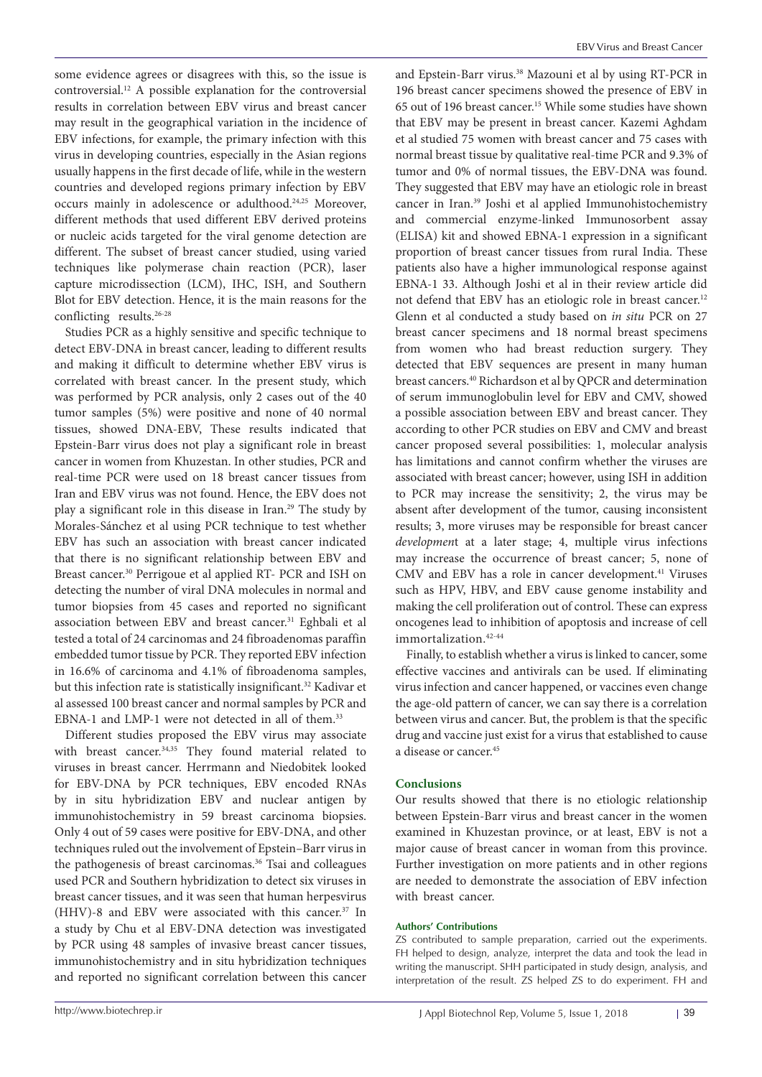some evidence agrees or disagrees with this, so the issue is controversial.12 A possible explanation for the controversial results in correlation between EBV virus and breast cancer may result in the geographical variation in the incidence of EBV infections, for example, the primary infection with this virus in developing countries, especially in the Asian regions usually happens in the first decade of life, while in the western countries and developed regions primary infection by EBV occurs mainly in adolescence or adulthood.24,25 Moreover, different methods that used different EBV derived proteins or nucleic acids targeted for the viral genome detection are different. The subset of breast cancer studied, using varied techniques like polymerase chain reaction (PCR), laser capture microdissection (LCM), IHC, ISH, and Southern Blot for EBV detection. Hence, it is the main reasons for the conflicting results.<sup>26-28</sup>

Studies PCR as a highly sensitive and specific technique to detect EBV-DNA in breast cancer, leading to different results and making it difficult to determine whether EBV virus is correlated with breast cancer. In the present study, which was performed by PCR analysis, only 2 cases out of the 40 tumor samples (5%) were positive and none of 40 normal tissues, showed DNA-EBV, These results indicated that Epstein-Barr virus does not play a significant role in breast cancer in women from Khuzestan. In other studies, PCR and real-time PCR were used on 18 breast cancer tissues from Iran and EBV virus was not found. Hence, the EBV does not play a significant role in this disease in Iran.<sup>29</sup> The study by Morales-Sánchez et al using PCR technique to test whether EBV has such an association with breast cancer indicated that there is no significant relationship between EBV and Breast cancer.30 Perrigoue et al applied RT- PCR and ISH on detecting the number of viral DNA molecules in normal and tumor biopsies from 45 cases and reported no significant association between EBV and breast cancer.<sup>31</sup> Eghbali et al tested a total of 24 carcinomas and 24 fibroadenomas paraffin embedded tumor tissue by PCR. They reported EBV infection in 16.6% of carcinoma and 4.1% of fibroadenoma samples, but this infection rate is statistically insignificant.<sup>32</sup> Kadivar et al assessed 100 breast cancer and normal samples by PCR and EBNA-1 and LMP-1 were not detected in all of them.<sup>33</sup>

Different studies proposed the EBV virus may associate with breast cancer.<sup>34,35</sup> They found material related to viruses in breast cancer. Herrmann and Niedobitek looked for EBV-DNA by PCR techniques, EBV encoded RNAs by in situ hybridization EBV and nuclear antigen by immunohistochemistry in 59 breast carcinoma biopsies. Only 4 out of 59 cases were positive for EBV-DNA, and other techniques ruled out the involvement of Epstein–Barr virus in the pathogenesis of breast carcinomas.<sup>36</sup> Tsai and colleagues used PCR and Southern hybridization to detect six viruses in breast cancer tissues, and it was seen that human herpesvirus (HHV)-8 and EBV were associated with this cancer.37 In a study by Chu et al EBV-DNA detection was investigated by PCR using 48 samples of invasive breast cancer tissues, immunohistochemistry and in situ hybridization techniques and reported no significant correlation between this cancer

and Epstein-Barr virus.<sup>38</sup> Mazouni et al by using RT-PCR in 196 breast cancer specimens showed the presence of EBV in 65 out of 196 breast cancer.15 While some studies have shown that EBV may be present in breast cancer. Kazemi Aghdam et al studied 75 women with breast cancer and 75 cases with normal breast tissue by qualitative real-time PCR and 9.3% of tumor and 0% of normal tissues, the EBV-DNA was found. They suggested that EBV may have an etiologic role in breast cancer in Iran.39 Joshi et al applied Immunohistochemistry and commercial enzyme-linked Immunosorbent assay (ELISA) kit and showed EBNA-1 expression in a significant proportion of breast cancer tissues from rural India. These patients also have a higher immunological response against EBNA-1 33. Although Joshi et al in their review article did not defend that EBV has an etiologic role in breast cancer.<sup>12</sup> Glenn et al conducted a study based on *in situ* PCR on 27 breast cancer specimens and 18 normal breast specimens from women who had breast reduction surgery. They detected that EBV sequences are present in many human breast cancers.<sup>40</sup> Richardson et al by QPCR and determination of serum immunoglobulin level for EBV and CMV, showed a possible association between EBV and breast cancer. They according to other PCR studies on EBV and CMV and breast cancer proposed several possibilities: 1, molecular analysis has limitations and cannot confirm whether the viruses are associated with breast cancer; however, using ISH in addition to PCR may increase the sensitivity; 2, the virus may be absent after development of the tumor, causing inconsistent results; 3, more viruses may be responsible for breast cancer *developmen*t at a later stage; 4, multiple virus infections may increase the occurrence of breast cancer; 5, none of CMV and EBV has a role in cancer development.<sup>41</sup> Viruses such as HPV, HBV, and EBV cause genome instability and making the cell proliferation out of control. These can express oncogenes lead to inhibition of apoptosis and increase of cell immortalization.<sup>42-44</sup>

Finally, to establish whether a virus is linked to cancer, some effective vaccines and antivirals can be used. If eliminating virus infection and cancer happened, or vaccines even change the age-old pattern of cancer, we can say there is a correlation between virus and cancer. But, the problem is that the specific drug and vaccine just exist for a virus that established to cause a disease or cancer<sup>45</sup>

#### **Conclusions**

Our results showed that there is no etiologic relationship between Epstein-Barr virus and breast cancer in the women examined in Khuzestan province, or at least, EBV is not a major cause of breast cancer in woman from this province. Further investigation on more patients and in other regions are needed to demonstrate the association of EBV infection with breast cancer.

#### **Authors' Contributions**

ZS contributed to sample preparation, carried out the experiments. FH helped to design, analyze, interpret the data and took the lead in writing the manuscript. SHH participated in study design, analysis, and interpretation of the result. ZS helped ZS to do experiment. FH and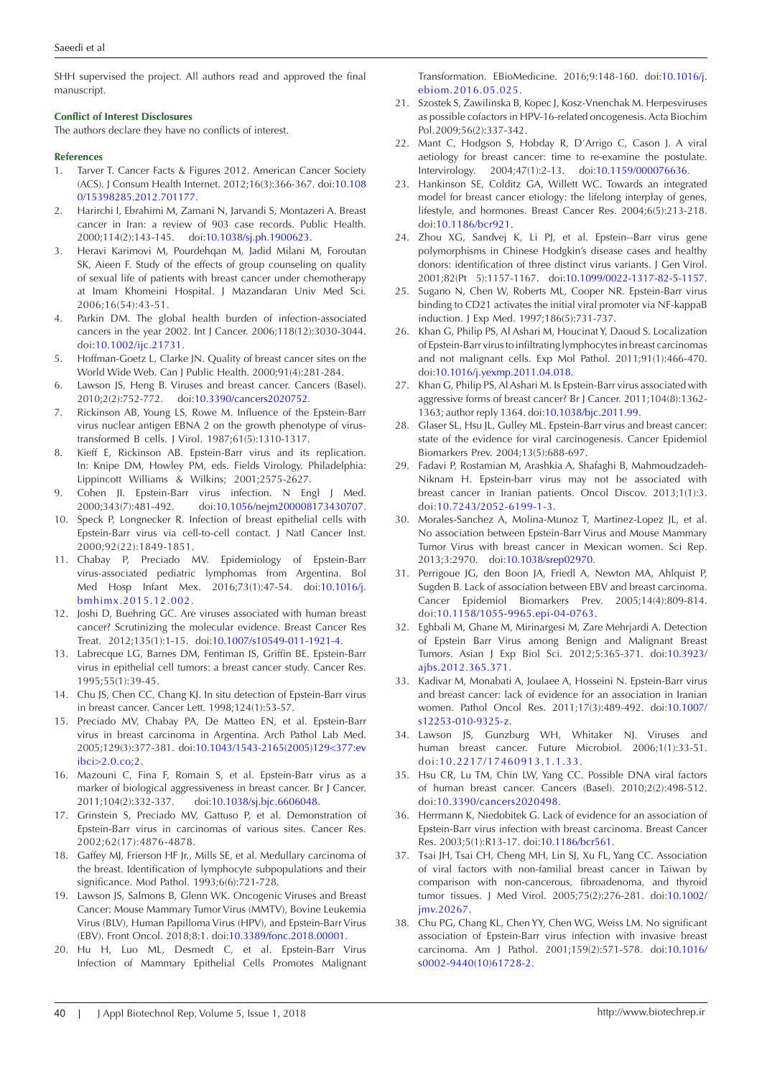SHH supervised the project. All authors read and approved the final manuscript.

#### **Conflict of Interest Disclosures**

The authors declare they have no conflicts of interest.

#### **References**

- 1. Tarver T. Cancer Facts & Figures 2012. American Cancer Society (ACS). J Consum Health Internet. 2012;16(3):366-367. doi:[10.108](https://doi.org/10.1080/15398285.2012.701177) [0/15398285.2012.701177.](https://doi.org/10.1080/15398285.2012.701177)
- 2. Harirchi I, Ebrahimi M, Zamani N, Jarvandi S, Montazeri A. Breast cancer in Iran: a review of 903 case records. Public Health. 2000;114(2):143-145. doi:[10.1038/sj.ph.1900623.](https://doi.org/10.1038/sj.ph.1900623)
- 3. Heravi Karimovi M, Pourdehqan M, Jadid Milani M, Foroutan SK, Aieen F. Study of the effects of group counseling on quality of sexual life of patients with breast cancer under chemotherapy at Imam Khomeini Hospital. J Mazandaran Univ Med Sci. 2006;16(54):43-51.
- 4. Parkin DM. The global health burden of infection-associated cancers in the year 2002. Int J Cancer. 2006;118(12):3030-3044. doi:[10.1002/ijc.21731](https://doi.org/10.1002/ijc.21731).
- 5. Hoffman-Goetz L, Clarke JN. Quality of breast cancer sites on the World Wide Web. Can J Public Health. 2000;91(4):281-284.
- 6. Lawson JS, Heng B. Viruses and breast cancer. Cancers (Basel). 2010;2(2):752-772. doi:[10.3390/cancers2020752](https://doi.org/10.3390/cancers2020752).
- 7. Rickinson AB, Young LS, Rowe M. Influence of the Epstein-Barr virus nuclear antigen EBNA 2 on the growth phenotype of virustransformed B cells. J Virol. 1987;61(5):1310-1317.
- 8. Kieff E, Rickinson AB. Epstein-Barr virus and its replication. In: Knipe DM, Howley PM, eds. Fields Virology. Philadelphia: Lippincott Williams & Wilkins; 2001;2575-2627.
- 9. Cohen JI. Epstein-Barr virus infection. N Engl J Med. 2000;343(7):481-492. doi:[10.1056/nejm200008173430707](https://doi.org/10.1056/nejm200008173430707).
- 10. Speck P, Longnecker R. Infection of breast epithelial cells with Epstein-Barr virus via cell-to-cell contact. J Natl Cancer Inst. 2000;92(22):1849-1851.
- 11. Chabay P, Preciado MV. Epidemiology of Epstein-Barr virus-associated pediatric lymphomas from Argentina. Bol Med Hosp Infant Mex. 2016;73(1):47-54. doi:[10.1016/j.](https://doi.org/10.1016/j.bmhimx.2015.12.002) [bmhimx.2015.12.002](https://doi.org/10.1016/j.bmhimx.2015.12.002).
- 12. Joshi D, Buehring GC. Are viruses associated with human breast cancer? Scrutinizing the molecular evidence. Breast Cancer Res Treat. 2012;135(1):1-15. doi:[10.1007/s10549-011-1921-4.](https://doi.org/10.1007/s10549-011-1921-4)
- 13. Labrecque LG, Barnes DM, Fentiman IS, Griffin BE. Epstein-Barr virus in epithelial cell tumors: a breast cancer study. Cancer Res. 1995;55(1):39-45.
- 14. Chu JS, Chen CC, Chang KJ. In situ detection of Epstein-Barr virus in breast cancer. Cancer Lett. 1998;124(1):53-57.
- 15. Preciado MV, Chabay PA, De Matteo EN, et al. Epstein-Barr virus in breast carcinoma in Argentina. Arch Pathol Lab Med. 2005;129(3):377-381. doi:[10.1043/1543-2165\(2005\)129<377:ev](https://doi.org/10.1043/1543-2165(2005)129%3c377:evibci%3e2.0.co;2) [ibci>2.0.co;2.](https://doi.org/10.1043/1543-2165(2005)129%3c377:evibci%3e2.0.co;2)
- 16. Mazouni C, Fina F, Romain S, et al. Epstein-Barr virus as a marker of biological aggressiveness in breast cancer. Br J Cancer. 2011;104(2):332-337. doi[:10.1038/sj.bjc.6606048](https://doi.org/10.1038/sj.bjc.6606048).
- 17. Grinstein S, Preciado MV, Gattuso P, et al. Demonstration of Epstein-Barr virus in carcinomas of various sites. Cancer Res. 2002;62(17):4876-4878.
- 18. Gaffey MJ, Frierson HF Jr., Mills SE, et al. Medullary carcinoma of the breast. Identification of lymphocyte subpopulations and their significance. Mod Pathol. 1993;6(6):721-728.
- 19. Lawson JS, Salmons B, Glenn WK. Oncogenic Viruses and Breast Cancer: Mouse Mammary Tumor Virus (MMTV), Bovine Leukemia Virus (BLV), Human Papilloma Virus (HPV), and Epstein-Barr Virus (EBV). Front Oncol. 2018;8:1. doi:[10.3389/fonc.2018.00001.](https://doi.org/10.3389/fonc.2018.00001)
- 20. Hu H, Luo ML, Desmedt C, et al. Epstein-Barr Virus Infection of Mammary Epithelial Cells Promotes Malignant

Transformation. EBioMedicine. 2016;9:148-160. doi[:10.1016/j.](https://doi.org/10.1016/j.ebiom.2016.05.025) [ebiom.2016.05.025.](https://doi.org/10.1016/j.ebiom.2016.05.025)

- 21. Szostek S, Zawilinska B, Kopec J, Kosz-Vnenchak M. Herpesviruses as possible cofactors in HPV-16-related oncogenesis. Acta Biochim Pol. 2009;56(2):337-342.
- 22. Mant C, Hodgson S, Hobday R, D'Arrigo C, Cason J. A viral aetiology for breast cancer: time to re-examine the postulate. Intervirology. 2004;47(1):2-13. doi:[10.1159/000076636](https://doi.org/10.1159/000076636).
- 23. Hankinson SE, Colditz GA, Willett WC. Towards an integrated model for breast cancer etiology: the lifelong interplay of genes, lifestyle, and hormones. Breast Cancer Res. 2004;6(5):213-218. doi:[10.1186/bcr921.](https://doi.org/10.1186/bcr921)
- 24. Zhou XG, Sandvej K, Li PJ, et al. Epstein--Barr virus gene polymorphisms in Chinese Hodgkin's disease cases and healthy donors: identification of three distinct virus variants. J Gen Virol. 2001;82(Pt 5):1157-1167. doi[:10.1099/0022-1317-82-5-1157.](https://doi.org/10.1099/0022-1317-82-5-1157)
- 25. Sugano N, Chen W, Roberts ML, Cooper NR. Epstein-Barr virus binding to CD21 activates the initial viral promoter via NF-kappaB induction. J Exp Med. 1997;186(5):731-737.
- 26. Khan G, Philip PS, Al Ashari M, Houcinat Y, Daoud S. Localization of Epstein-Barr virus to infiltrating lymphocytes in breast carcinomas and not malignant cells. Exp Mol Pathol. 2011;91(1):466-470. doi[:10.1016/j.yexmp.2011.04.018](https://doi.org/10.1016/j.yexmp.2011.04.018).
- 27. Khan G, Philip PS, Al Ashari M. Is Epstein-Barr virus associated with aggressive forms of breast cancer? Br J Cancer. 2011;104(8):1362- 1363; author reply 1364. doi:[10.1038/bjc.2011.99.](https://doi.org/10.1038/bjc.2011.99)
- 28. Glaser SL, Hsu JL, Gulley ML. Epstein-Barr virus and breast cancer: state of the evidence for viral carcinogenesis. Cancer Epidemiol Biomarkers Prev. 2004;13(5):688-697.
- 29. Fadavi P, Rostamian M, Arashkia A, Shafaghi B, Mahmoudzadeh-Niknam H. Epstein-barr virus may not be associated with breast cancer in Iranian patients. Oncol Discov. 2013;1(1):3. doi:[10.7243/2052-6199-1-3](https://doi.org/10.7243/2052-6199-1-3).
- 30. Morales-Sanchez A, Molina-Munoz T, Martinez-Lopez JL, et al. No association between Epstein-Barr Virus and Mouse Mammary Tumor Virus with breast cancer in Mexican women. Sci Rep. 2013;3:2970. doi:[10.1038/srep02970](https://doi.org/10.1038/srep02970).
- 31. Perrigoue JG, den Boon JA, Friedl A, Newton MA, Ahlquist P, Sugden B. Lack of association between EBV and breast carcinoma. Cancer Epidemiol Biomarkers Prev. 2005;14(4):809-814. doi[:10.1158/1055-9965.epi-04-0763](https://doi.org/10.1158/1055-9965.epi-04-0763).
- 32. Eghbali M, Ghane M, Mirinargesi M, Zare Mehrjardi A. Detection of Epstein Barr Virus among Benign and Malignant Breast Tumors. Asian J Exp Biol Sci. 2012;5:365-371. doi:[10.3923/](https://doi.org/10.3923/ajbs.2012.365.371) [ajbs.2012.365.371](https://doi.org/10.3923/ajbs.2012.365.371).
- 33. Kadivar M, Monabati A, Joulaee A, Hosseini N. Epstein-Barr virus and breast cancer: lack of evidence for an association in Iranian women. Pathol Oncol Res. 2011;17(3):489-492. doi:[10.1007/](https://doi.org/10.1007/s12253-010-9325-z) [s12253-010-9325-z.](https://doi.org/10.1007/s12253-010-9325-z)
- 34. Lawson JS, Gunzburg WH, Whitaker NJ. Viruses and human breast cancer. Future Microbiol. 2006;1(1):33-51. doi:[10.2217/17460913.1.1.33](https://doi.org/10.2217/17460913.1.1.33).
- 35. Hsu CR, Lu TM, Chin LW, Yang CC. Possible DNA viral factors of human breast cancer. Cancers (Basel). 2010;2(2):498-512. doi[:10.3390/cancers2020498](https://doi.org/10.3390/cancers2020498).
- 36. Herrmann K, Niedobitek G. Lack of evidence for an association of Epstein-Barr virus infection with breast carcinoma. Breast Cancer Res. 2003;5(1):R13-17. doi[:10.1186/bcr561](https://doi.org/10.1186/bcr561).
- 37. Tsai JH, Tsai CH, Cheng MH, Lin SJ, Xu FL, Yang CC. Association of viral factors with non-familial breast cancer in Taiwan by comparison with non-cancerous, fibroadenoma, and thyroid tumor tissues. J Med Virol. 2005;75(2):276-281. doi:[10.1002/](https://doi.org/10.1002/jmv.20267) [jmv.20267](https://doi.org/10.1002/jmv.20267).
- 38. Chu PG, Chang KL, Chen YY, Chen WG, Weiss LM. No significant association of Epstein-Barr virus infection with invasive breast carcinoma. Am J Pathol. 2001;159(2):571-578. doi:[10.1016/](https://doi.org/10.1016/s0002-9440(10)61728-2) [s0002-9440\(10\)61728-2](https://doi.org/10.1016/s0002-9440(10)61728-2).